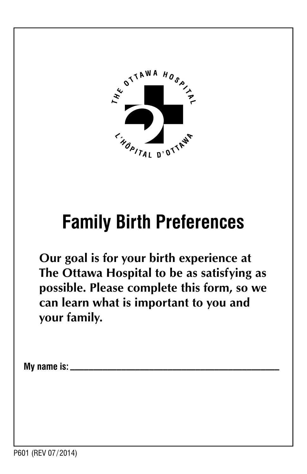

## **Family Birth Preferences**

**Our goal is for your birth experience at The Ottawa Hospital to be as satisfying as possible. Please complete this form, so we can learn what is important to you and your family.** 

**My name is: \_\_\_\_\_\_\_\_\_\_\_\_\_\_\_\_\_\_\_\_\_\_\_\_\_\_\_\_\_\_\_\_\_\_\_\_\_\_\_\_\_\_\_\_\_**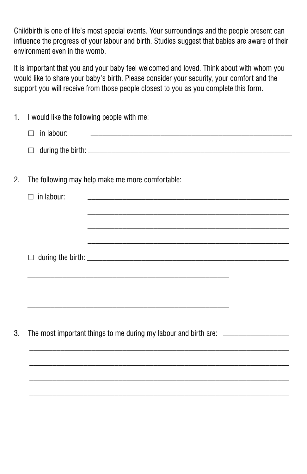Childbirth is one of life's most special events. Your surroundings and the people present can influence the progress of your labour and birth. Studies suggest that babies are aware of their environment even in the womb.

It is important that you and your baby feel welcomed and loved. Think about with whom you would like to share your baby's birth. Please consider your security, your comfort and the support you will receive from those people closest to you as you complete this form.

| $1_{\cdot}$ | I would like the following people with me:                                                                                                   |
|-------------|----------------------------------------------------------------------------------------------------------------------------------------------|
|             | in labour:<br><u> 1989 - Johann Barn, mars eta bainar eta industrial eta erromana eta erromana eta erromana eta erromana eta e</u><br>$\Box$ |
|             | $\Box$                                                                                                                                       |
| 2.          | The following may help make me more comfortable:                                                                                             |
|             | $\Box$ in labour:                                                                                                                            |
|             |                                                                                                                                              |
|             |                                                                                                                                              |
|             | $\Box$                                                                                                                                       |
|             | <u> 1989 - Johann Harry Harry Harry Harry Harry Harry Harry Harry Harry Harry Harry Harry Harry Harry Harry Harry</u>                        |
|             |                                                                                                                                              |
|             |                                                                                                                                              |
| 3.          | The most important things to me during my labour and birth are: ________________                                                             |

 $\mathcal{L}_\text{max} = \frac{1}{2} \sum_{i=1}^n \mathcal{L}_\text{max} = \frac{1}{2} \sum_{i=1}^n \mathcal{L}_\text{max} = \frac{1}{2} \sum_{i=1}^n \mathcal{L}_\text{max} = \frac{1}{2} \sum_{i=1}^n \mathcal{L}_\text{max} = \frac{1}{2} \sum_{i=1}^n \mathcal{L}_\text{max} = \frac{1}{2} \sum_{i=1}^n \mathcal{L}_\text{max} = \frac{1}{2} \sum_{i=1}^n \mathcal{L}_\text{max} = \frac{1}{2} \sum_{i=$ 

 $\mathcal{L}_\text{max} = \frac{1}{2} \sum_{i=1}^n \mathcal{L}_\text{max} = \frac{1}{2} \sum_{i=1}^n \mathcal{L}_\text{max} = \frac{1}{2} \sum_{i=1}^n \mathcal{L}_\text{max} = \frac{1}{2} \sum_{i=1}^n \mathcal{L}_\text{max} = \frac{1}{2} \sum_{i=1}^n \mathcal{L}_\text{max} = \frac{1}{2} \sum_{i=1}^n \mathcal{L}_\text{max} = \frac{1}{2} \sum_{i=1}^n \mathcal{L}_\text{max} = \frac{1}{2} \sum_{i=$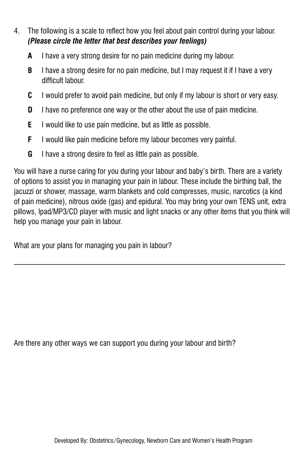- 4. The following is a scale to reflect how you feel about pain control during your labour. *(Please circle the letter that best describes your feelings)* 
	- **A** I have a very strong desire for no pain medicine during my labour.
	- **B** I have a strong desire for no pain medicine, but I may request it if I have a very difficult labour.
	- **C** I would prefer to avoid pain medicine, but only if my labour is short or very easy.
	- **D** I have no preference one way or the other about the use of pain medicine.
	- **E** I would like to use pain medicine, but as little as possible.
	- **F** I would like pain medicine before my labour becomes very painful.
	- **G** I have a strong desire to feel as little pain as possible.

You will have a nurse caring for you during your labour and baby's birth. There are a variety of options to assist you in managing your pain in labour. These include the birthing ball, the jacuzzi or shower, massage, warm blankets and cold compresses, music, narcotics (a kind of pain medicine), nitrous oxide (gas) and epidural. You may bring your own TENS unit, extra pillows, Ipad/MP3/CD player with music and light snacks or any other items that you think will help you manage your pain in labour.

What are your plans for managing you pain in labour?

Are there any other ways we can support you during your labour and birth?